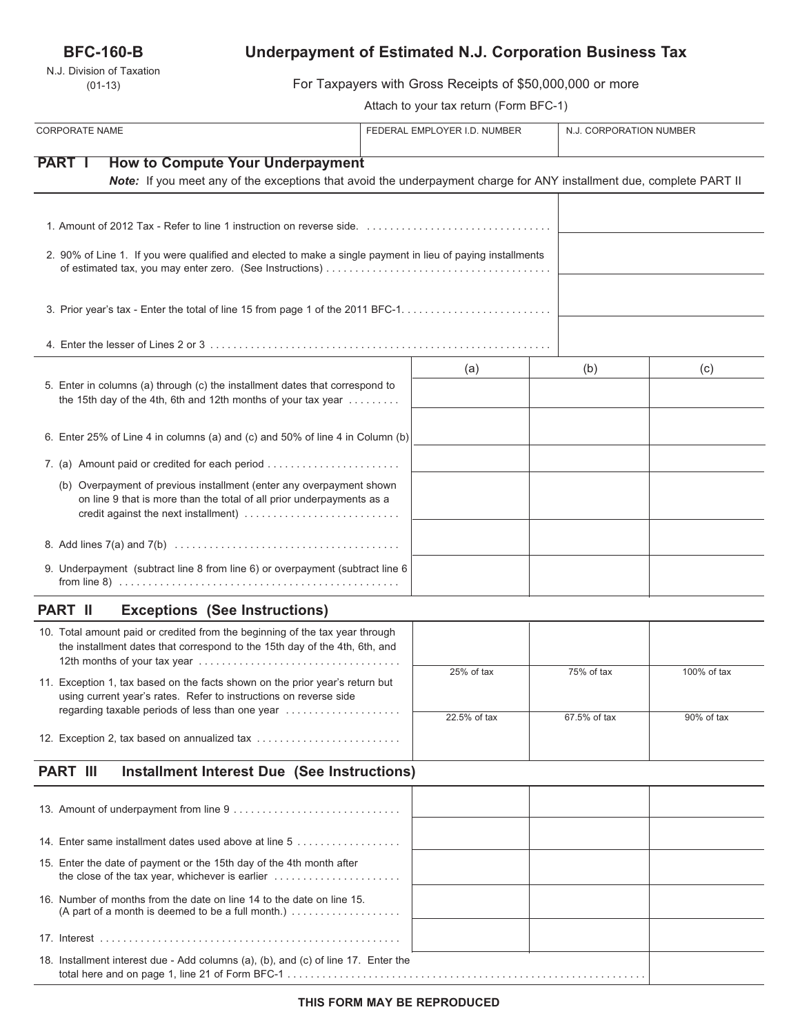## **BFC-160-B**

N.J. Division of Taxation (01-13)

# **Underpayment of Estimated N.J. Corporation Business Tax**

For Taxpayers with Gross Receipts of \$50,000,000 or more

Attach to your tax return (Form BFC-1)

| <b>CORPORATE NAME</b>                                                                                                                                                                                 | FEDERAL EMPLOYER I.D. NUMBER |              | N.J. CORPORATION NUMBER |  |
|-------------------------------------------------------------------------------------------------------------------------------------------------------------------------------------------------------|------------------------------|--------------|-------------------------|--|
| <b>PART I</b><br><b>How to Compute Your Underpayment</b><br>Note: If you meet any of the exceptions that avoid the underpayment charge for ANY installment due, complete PART II                      |                              |              |                         |  |
|                                                                                                                                                                                                       |                              |              |                         |  |
| 2. 90% of Line 1. If you were qualified and elected to make a single payment in lieu of paying installments                                                                                           |                              |              |                         |  |
|                                                                                                                                                                                                       |                              |              |                         |  |
|                                                                                                                                                                                                       |                              |              |                         |  |
| 5. Enter in columns (a) through (c) the installment dates that correspond to<br>the 15th day of the 4th, 6th and 12th months of your tax year                                                         | (a)                          | (b)          | (c)                     |  |
| 6. Enter 25% of Line 4 in columns (a) and (c) and 50% of line 4 in Column (b)                                                                                                                         |                              |              |                         |  |
| 7. (a) Amount paid or credited for each period                                                                                                                                                        |                              |              |                         |  |
| (b) Overpayment of previous installment (enter any overpayment shown<br>on line 9 that is more than the total of all prior underpayments as a<br>credit against the next installment)                 |                              |              |                         |  |
|                                                                                                                                                                                                       |                              |              |                         |  |
| 9. Underpayment (subtract line 8 from line 6) or overpayment (subtract line 6<br>from line 8) $\dots \dots \dots \dots \dots \dots \dots \dots \dots \dots \dots \dots \dots \dots \dots \dots \dots$ |                              |              |                         |  |
| <b>PART II</b><br><b>Exceptions (See Instructions)</b>                                                                                                                                                |                              |              |                         |  |
| 10. Total amount paid or credited from the beginning of the tax year through<br>the installment dates that correspond to the 15th day of the 4th, 6th, and                                            |                              |              |                         |  |
| 11. Exception 1, tax based on the facts shown on the prior year's return but<br>using current year's rates. Refer to instructions on reverse side                                                     | 25% of tax                   | 75% of tax   | 100% of tax             |  |
| regarding taxable periods of less than one year                                                                                                                                                       | 22.5% of tax                 | 67.5% of tax | 90% of tax              |  |
| 12. Exception 2, tax based on annualized tax                                                                                                                                                          |                              |              |                         |  |
| <b>PART III</b><br><b>Installment Interest Due (See Instructions)</b>                                                                                                                                 |                              |              |                         |  |
|                                                                                                                                                                                                       |                              |              |                         |  |
| 14. Enter same installment dates used above at line 5                                                                                                                                                 |                              |              |                         |  |
| 15. Enter the date of payment or the 15th day of the 4th month after                                                                                                                                  |                              |              |                         |  |
| 16. Number of months from the date on line 14 to the date on line 15.<br>(A part of a month is deemed to be a full month.)                                                                            |                              |              |                         |  |
|                                                                                                                                                                                                       |                              |              |                         |  |
| 18. Installment interest due - Add columns (a), (b), and (c) of line 17. Enter the                                                                                                                    |                              |              |                         |  |

total here and on page 1, line 21 of Form BFC-1 . . . . . . . . . . . . . . . . . . . . . . . . . . . . . . . . . . . . . . . . . . . . . . . . . . . . . . . . . . . . . .